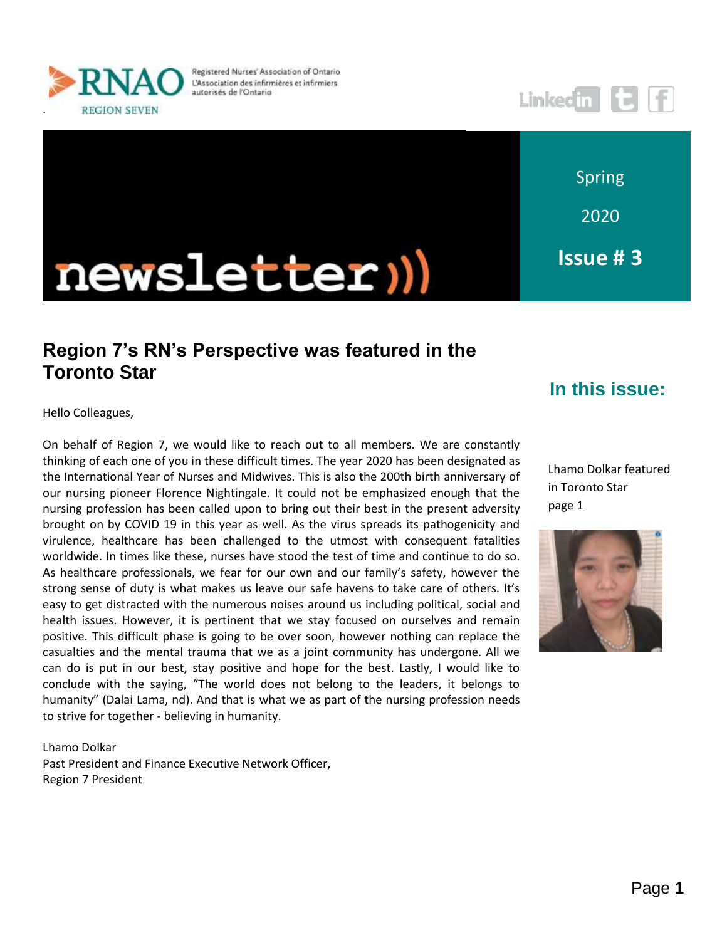

Registered Nurses' Association of Ontario L'Association des infirmières et infirmiers autorisés de l'Ontario



Spring

2020

**Issue # 3**

# newsletter))

# **Region 7's RN's Perspective was featured in the Toronto Star**

#### **In this issue:**

Hello Colleagues,

On behalf of Region 7, we would like to reach out to all members. We are constantly thinking of each one of you in these difficult times. The year 2020 has been designated as the International Year of Nurses and Midwives. This is also the 200th birth anniversary of our nursing pioneer Florence Nightingale. It could not be emphasized enough that the nursing profession has been called upon to bring out their best in the present adversity brought on by COVID 19 in this year as well. As the virus spreads its pathogenicity and virulence, healthcare has been challenged to the utmost with consequent fatalities worldwide. In times like these, nurses have stood the test of time and continue to do so. As healthcare professionals, we fear for our own and our family's safety, however the strong sense of duty is what makes us leave our safe havens to take care of others. It's easy to get distracted with the numerous noises around us including political, social and health issues. However, it is pertinent that we stay focused on ourselves and remain positive. This difficult phase is going to be over soon, however nothing can replace the casualties and the mental trauma that we as a joint community has undergone. All we can do is put in our best, stay positive and hope for the best. Lastly, I would like to conclude with the saying, "The world does not belong to the leaders, it belongs to humanity" (Dalai Lama, nd). And that is what we as part of the nursing profession needs to strive for together - believing in humanity.

#### Lhamo Dolkar Past President and Finance Executive Network Officer, Region 7 President

Lhamo Dolkar featured in Toronto Star page 1

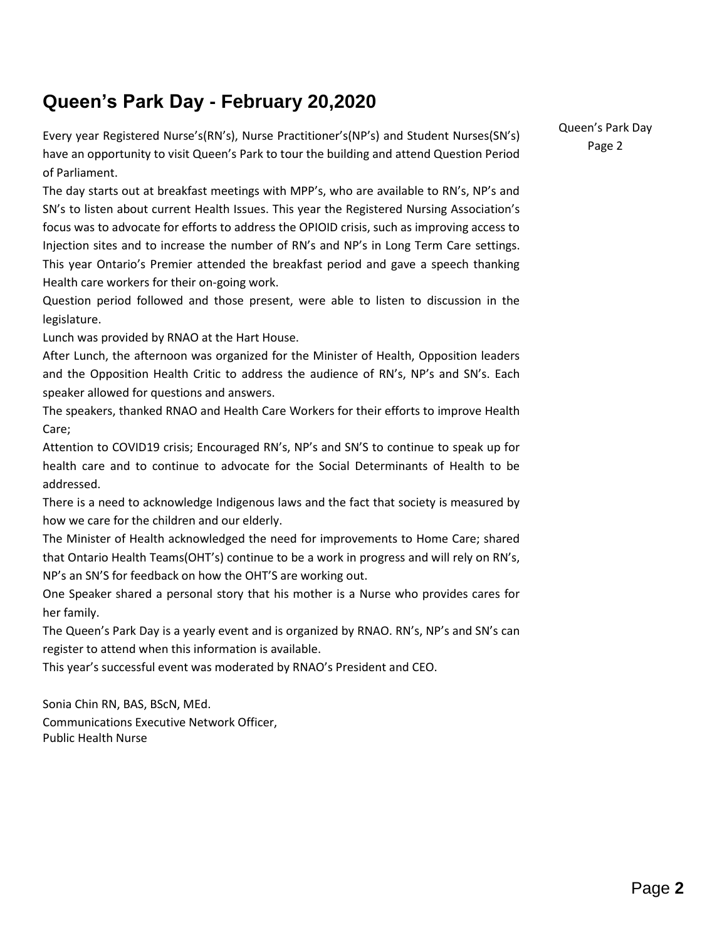# **Queen's Park Day - February 20,2020**

Every year Registered Nurse's(RN's), Nurse Practitioner's(NP's) and Student Nurses(SN's) have an opportunity to visit Queen's Park to tour the building and attend Question Period of Parliament.

The day starts out at breakfast meetings with MPP's, who are available to RN's, NP's and SN's to listen about current Health Issues. This year the Registered Nursing Association's focus was to advocate for efforts to address the OPIOID crisis, such as improving access to Injection sites and to increase the number of RN's and NP's in Long Term Care settings. This year Ontario's Premier attended the breakfast period and gave a speech thanking Health care workers for their on-going work.

Question period followed and those present, were able to listen to discussion in the legislature.

Lunch was provided by RNAO at the Hart House.

After Lunch, the afternoon was organized for the Minister of Health, Opposition leaders and the Opposition Health Critic to address the audience of RN's, NP's and SN's. Each speaker allowed for questions and answers.

The speakers, thanked RNAO and Health Care Workers for their efforts to improve Health Care;

Attention to COVID19 crisis; Encouraged RN's, NP's and SN'S to continue to speak up for health care and to continue to advocate for the Social Determinants of Health to be addressed.

There is a need to acknowledge Indigenous laws and the fact that society is measured by how we care for the children and our elderly.

The Minister of Health acknowledged the need for improvements to Home Care; shared that Ontario Health Teams(OHT's) continue to be a work in progress and will rely on RN's, NP's an SN'S for feedback on how the OHT'S are working out.

One Speaker shared a personal story that his mother is a Nurse who provides cares for her family.

The Queen's Park Day is a yearly event and is organized by RNAO. RN's, NP's and SN's can register to attend when this information is available.

This year's successful event was moderated by RNAO's President and CEO.

Sonia Chin RN, BAS, BScN, MEd. Communications Executive Network Officer, Public Health Nurse

Queen's Park Day Page 2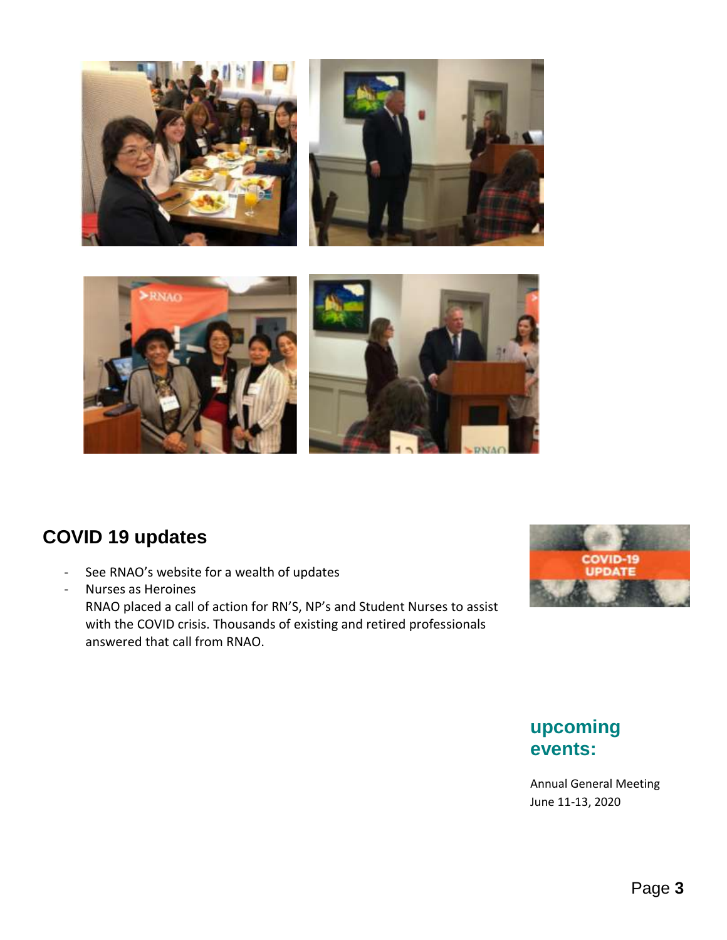





## **COVID 19 updates**

- See RNAO's website for a wealth of updates

- Nurses as Heroines RNAO placed a call of action for RN'S, NP's and Student Nurses to assist with the COVID crisis. Thousands of existing and retired professionals answered that call from RNAO.



## **upcoming events:**

Annual General Meeting June 11-13, 2020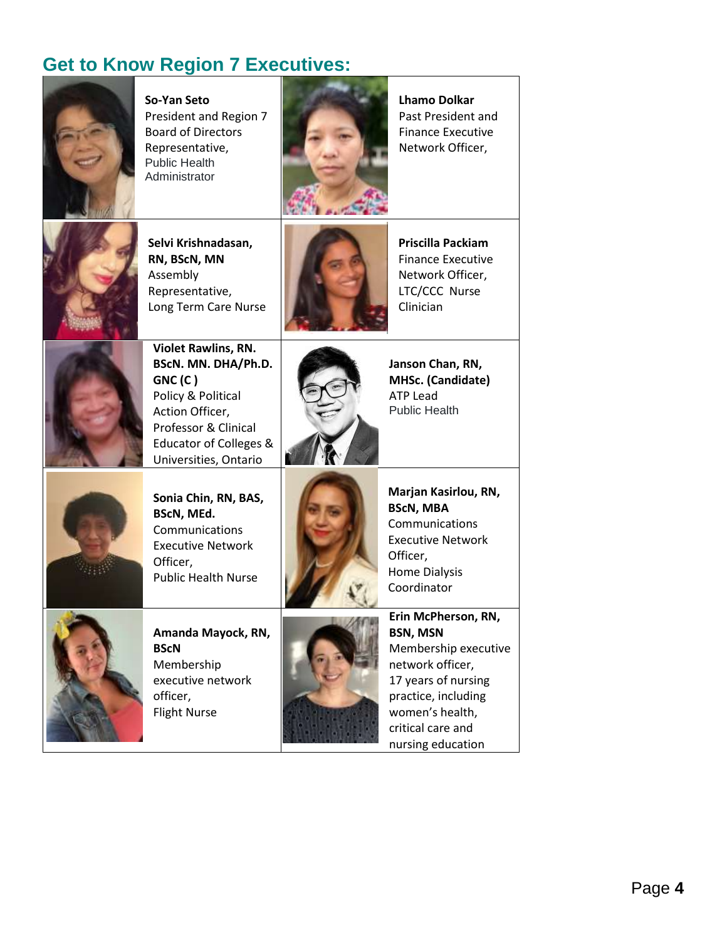# **Get to Know Region 7 Executives:**



**So-Yan Seto** President and Region 7 Board of Directors Representative, Public Health Administrator



**Lhamo Dolkar**  Past President and Finance Executive Network Officer,



**Selvi Krishnadasan, RN, BScN, MN** Assembly Representative, Long Term Care Nurse



**Priscilla Packiam** Finance Executive Network Officer, LTC/CCC Nurse Clinician



**Violet Rawlins, RN. BScN. MN. DHA/Ph.D. GNC (C )** Policy & Political Action Officer, Professor & Clinical Educator of Colleges & Universities, Ontario



**Janson Chan, RN, MHSc. (Candidate)** ATP Lead Public Health



**Sonia Chin, RN, BAS, BScN, MEd.** Communications Executive Network Officer, Public Health Nurse



**Amanda Mayock, RN, BScN** Membership executive network officer, Flight Nurse



**Marjan Kasirlou, RN, BScN, MBA Communications** Executive Network Officer, Home Dialysis Coordinator



**Erin McPherson, RN, BSN, MSN** Membership executive network officer, 17 years of nursing practice, including

critical care and nursing education

women's health,